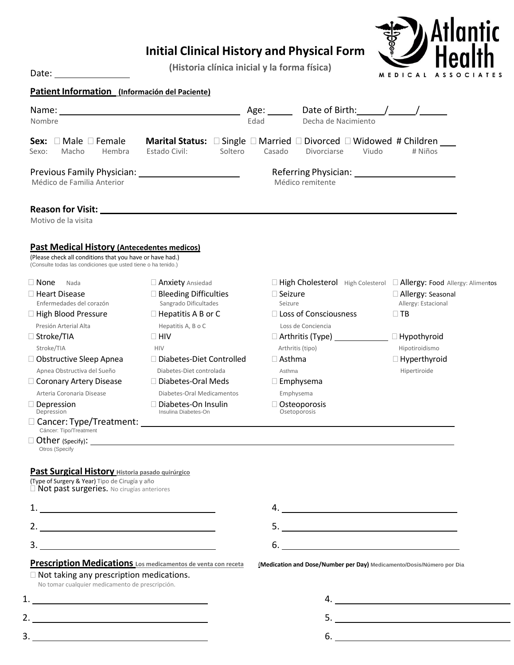# **Initial Clinical History and Physical Form**

**(Historia clínica inicial y la forma física)**



| Patient Information (Información del Paciente) |
|------------------------------------------------|
|------------------------------------------------|

Date:

| Name:<br>Nombre                                                                                                                                                                 |                                                                             | Date of Birth: /<br>Age: $\_\_\_\_\_\_\$<br>Edad<br>Decha de Nacimiento                                                                     |                                                       |  |
|---------------------------------------------------------------------------------------------------------------------------------------------------------------------------------|-----------------------------------------------------------------------------|---------------------------------------------------------------------------------------------------------------------------------------------|-------------------------------------------------------|--|
| $\Box$ Male $\Box$ Female<br>Sex:<br>Macho<br>Hembra<br>Sexo:                                                                                                                   | Estado Civil:<br>Soltero                                                    | <b>Marital Status:</b> $\square$ Single $\square$ Married $\square$ Divorced $\square$ Widowed # Children<br>Casado<br>Viudo<br>Divorciarse | # Niños                                               |  |
| Médico de Familia Anterior                                                                                                                                                      |                                                                             | Médico remitente                                                                                                                            |                                                       |  |
| Motivo de la visita                                                                                                                                                             |                                                                             |                                                                                                                                             |                                                       |  |
| <b>Past Medical History (Antecedentes medicos)</b><br>(Please check all conditions that you have or have had.)<br>(Consulte todas las condiciones que usted tiene o ha tenido.) |                                                                             |                                                                                                                                             |                                                       |  |
| $\Box$ None<br>Nada<br>$\Box$ Heart Disease                                                                                                                                     | Anxiety Ansiedad<br>$\square$ Bleeding Difficulties                         | □ High Cholesterol High Colesterol □ Allergy: Food Allergy: Alimentos<br>$\Box$ Seizure                                                     | □ Allergy: Seasonal                                   |  |
| Enfermedades del corazón<br>$\Box$ High Blood Pressure<br>Presión Arterial Alta                                                                                                 | Sangrado Dificultades<br>$\Box$ Hepatitis A B or C<br>Hepatitis A, B o C    | Seizure<br>$\Box$ Loss of Consciousness<br>Loss de Conciencia                                                                               | Allergy: Estacional<br>$\Box$ TB                      |  |
| $\Box$ Stroke/TIA                                                                                                                                                               | $\Box$ HIV                                                                  |                                                                                                                                             | $\Box$ Hypothyroid                                    |  |
| Stroke/TIA<br>$\Box$ Obstructive Sleep Apnea<br>Apnea Obstructiva del Sueño                                                                                                     | <b>HIV</b><br>□ Diabetes-Diet Controlled<br>Diabetes-Diet controlada        | Arthritis (tipo)<br>$\Box$ Asthma<br>Asthma                                                                                                 | Hipotiroidismo<br>$\Box$ Hyperthyroid<br>Hipertiroide |  |
| □ Coronary Artery Disease                                                                                                                                                       | □ Diabetes-Oral Meds                                                        | $\square$ Emphysema                                                                                                                         |                                                       |  |
| Arteria Coronaria Disease<br>$\Box$ Depression<br>Depression                                                                                                                    | Diabetes-Oral Medicamentos<br>□ Diabetes-On Insulin<br>Insulina Diabetes-On | Emphysema<br>$\Box$ Osteoporosis<br>Osetoporosis                                                                                            |                                                       |  |
| Cáncer: Tipo/Treatment<br>Otros (Specify                                                                                                                                        |                                                                             |                                                                                                                                             |                                                       |  |
| <b>Past Surgical History Historia pasado quirúrgico</b>                                                                                                                         |                                                                             |                                                                                                                                             |                                                       |  |
| (Type of Surgery & Year) Tipo de Cirugía y año<br>□ Not past surgeries. No cirugías anteriores                                                                                  |                                                                             |                                                                                                                                             |                                                       |  |
|                                                                                                                                                                                 |                                                                             |                                                                                                                                             |                                                       |  |
|                                                                                                                                                                                 |                                                                             |                                                                                                                                             |                                                       |  |
| 3.                                                                                                                                                                              |                                                                             | 6.<br><u> 1980 - Andrea State Barbara, poeta esperanto-</u>                                                                                 |                                                       |  |
| $\Box$ Not taking any prescription medications.<br>No tomar cualquier medicamento de prescripción.                                                                              | <b>Prescription Medications</b> Los medicamentos de venta con receta        | (Medication and Dose/Number per Day) Medicamento/Dosis/Número por Dia                                                                       |                                                       |  |
| 1.                                                                                                                                                                              |                                                                             |                                                                                                                                             |                                                       |  |
| 2.                                                                                                                                                                              |                                                                             |                                                                                                                                             |                                                       |  |
|                                                                                                                                                                                 |                                                                             |                                                                                                                                             | $6.$                                                  |  |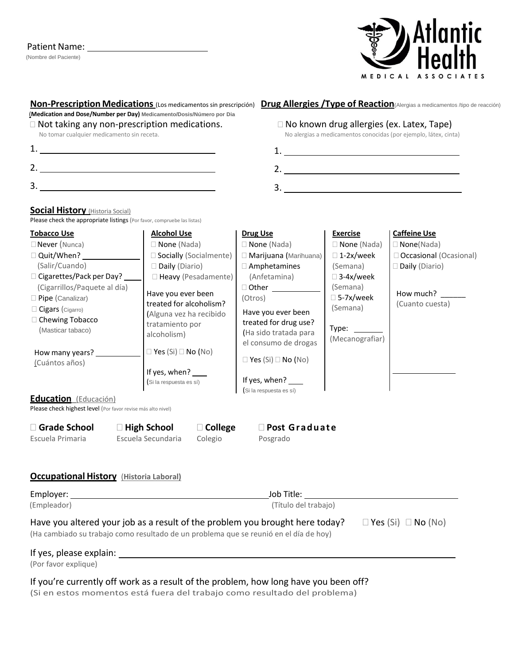#### Patient Name: 1997

(Nombre del Paciente)



| $\Box$ Not taking any non-prescription medications.<br>No tomar cualquier medicamento sin receta.                                                                                                                                                                     |                                                                                                                                                                                                                                                                 |                                                                                                                                                                                                                                                                         |                                                                                                                                                                | $\Box$ No known drug allergies (ex. Latex, Tape)<br>No alergias a medicamentos conocidas (por ejemplo, látex, cinta)                |  |
|-----------------------------------------------------------------------------------------------------------------------------------------------------------------------------------------------------------------------------------------------------------------------|-----------------------------------------------------------------------------------------------------------------------------------------------------------------------------------------------------------------------------------------------------------------|-------------------------------------------------------------------------------------------------------------------------------------------------------------------------------------------------------------------------------------------------------------------------|----------------------------------------------------------------------------------------------------------------------------------------------------------------|-------------------------------------------------------------------------------------------------------------------------------------|--|
|                                                                                                                                                                                                                                                                       |                                                                                                                                                                                                                                                                 | 2.                                                                                                                                                                                                                                                                      |                                                                                                                                                                |                                                                                                                                     |  |
| 2. $\overline{\phantom{a}}$                                                                                                                                                                                                                                           |                                                                                                                                                                                                                                                                 |                                                                                                                                                                                                                                                                         |                                                                                                                                                                |                                                                                                                                     |  |
|                                                                                                                                                                                                                                                                       |                                                                                                                                                                                                                                                                 | 3.                                                                                                                                                                                                                                                                      |                                                                                                                                                                |                                                                                                                                     |  |
| <b>Social History</b> (Historia Social)<br>Please check the appropriate listings (Por favor, compruebe las listas)                                                                                                                                                    |                                                                                                                                                                                                                                                                 |                                                                                                                                                                                                                                                                         |                                                                                                                                                                |                                                                                                                                     |  |
| <b>Tobacco Use</b><br>$\Box$ Never (Nunca)<br>(Salir/Cuando)<br>□ Cigarettes/Pack per Day? ____<br>(Cigarrillos/Paquete al día)<br>□ Pipe (Canalizar)<br>Cigars (Cigarro)<br>□ Chewing Tobacco<br>(Masticar tabaco)<br>How many years? ____________<br>(Cuántos años) | <u>Alcohol Use</u><br>$\Box$ None (Nada)<br>□ Socially (Socialmente)<br>Daily (Diario)<br>□ Heavy (Pesadamente)<br>Have you ever been<br>treated for alcoholism?<br>(Alguna vez ha recibido<br>tratamiento por<br>alcoholism)<br>$\Box$ Yes (Si) $\Box$ No (No) | <b>Drug Use</b><br>$\square$ None (Nada)<br>□ Marijuana (Marihuana)<br>$\Box$ Amphetamines<br>(Anfetamina)<br>$\Box$ Other<br>(Otros)<br>Have you ever been<br>treated for drug use?<br>(Ha sido tratada para<br>el consumo de drogas<br>$\Box$ Yes (Si) $\Box$ No (No) | <u>Exercise</u><br>$\Box$ None (Nada)<br>$\Box$ 1-2x/week<br>(Semana)<br>□ 3-4x/week<br>(Semana)<br>□ 5-7x/week<br>(Semana)<br>Type: $\_\_$<br>(Mecanografiar) | <b>Caffeine Use</b><br>$\square$ None(Nada)<br>□ Occasional (Ocasional)<br>$\square$ Daily (Diario)<br>How much?<br>(Cuanto cuesta) |  |
| Education (Educación)                                                                                                                                                                                                                                                 | If yes, when?<br>(Si la respuesta es sí)                                                                                                                                                                                                                        | If yes, when? $\frac{1}{\sqrt{1-\frac{1}{2}}}$<br>(Si la respuesta es sí)                                                                                                                                                                                               |                                                                                                                                                                |                                                                                                                                     |  |
| Please check highest level (Por favor revise más alto nivel)                                                                                                                                                                                                          |                                                                                                                                                                                                                                                                 |                                                                                                                                                                                                                                                                         |                                                                                                                                                                |                                                                                                                                     |  |
| Grade School<br>Escuela Primaria                                                                                                                                                                                                                                      | $\Box$ High School<br>$\Box$ College<br>Escuela Secundaria<br>Colegio                                                                                                                                                                                           | □ Post Graduate<br>Posgrado                                                                                                                                                                                                                                             |                                                                                                                                                                |                                                                                                                                     |  |
| <b>Occupational History (Historia Laboral)</b>                                                                                                                                                                                                                        |                                                                                                                                                                                                                                                                 |                                                                                                                                                                                                                                                                         |                                                                                                                                                                |                                                                                                                                     |  |
| (Empleador)                                                                                                                                                                                                                                                           | (Título del trabajo)                                                                                                                                                                                                                                            |                                                                                                                                                                                                                                                                         |                                                                                                                                                                |                                                                                                                                     |  |
| Have you altered your job as a result of the problem you brought here today? $\square$ Yes (Si) $\square$ No (No)<br>(Ha cambiado su trabajo como resultado de un problema que se reunió en el día de hoy)                                                            |                                                                                                                                                                                                                                                                 |                                                                                                                                                                                                                                                                         |                                                                                                                                                                |                                                                                                                                     |  |
|                                                                                                                                                                                                                                                                       |                                                                                                                                                                                                                                                                 |                                                                                                                                                                                                                                                                         |                                                                                                                                                                |                                                                                                                                     |  |

(Si en estos momentos está fuera del trabajo como resultado del problema)